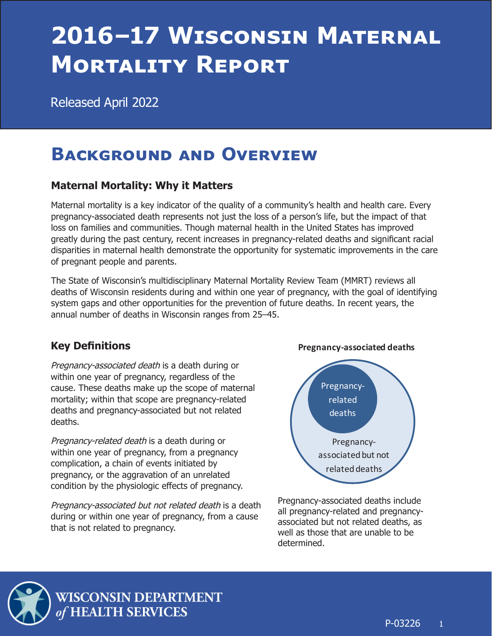# <span id="page-0-0"></span>**2016–17 Wisconsin Maternal Mortality Report**

Released April 2022

# **Background and Overview**

# **Maternal Mortality: Why it Matters**

Maternal mortality is a key indicator of the quality of a community's health and health care. Every pregnancy-associated death represents not just the loss of a person's life, but the impact of that loss on families and communities. Though maternal health in the United States has improved greatly during the past century, recent increases in pregnancy-related deaths and significant racial disparities in maternal health demonstrate the opportunity for systematic improvements in the care of pregnant people and parents.

The State of Wisconsin's multidisciplinary Maternal Mortality Review Team (MMRT) reviews all deaths of Wisconsin residents during and within one year of pregnancy, with the goal of identifying system gaps and other opportunities for the prevention of future deaths. In recent years, the annual number of deaths in Wisconsin ranges from 25–45.

# **Key Definitions**

Pregnancy-associated death is a death during or within one year of pregnancy, regardless of the cause. These deaths make up the scope of maternal mortality; within that scope are pregnancy-related deaths and pregnancy-associated but not related deaths.

Pregnancy-related death is a death during or within one year of pregnancy, from a pregnancy complication, a chain of events initiated by pregnancy, or the aggravation of an unrelated condition by the physiologic effects of pregnancy.

Pregnancy-associated but not related death is a death during or within one year of pregnancy, from a cause that is not related to pregnancy.



Pregnancy-associated deaths include all pregnancy-related and pregnancyassociated but not related deaths, as well as those that are unable to be determined.



WISCONSIN DEPARTMENT **HEALTH SERVICES**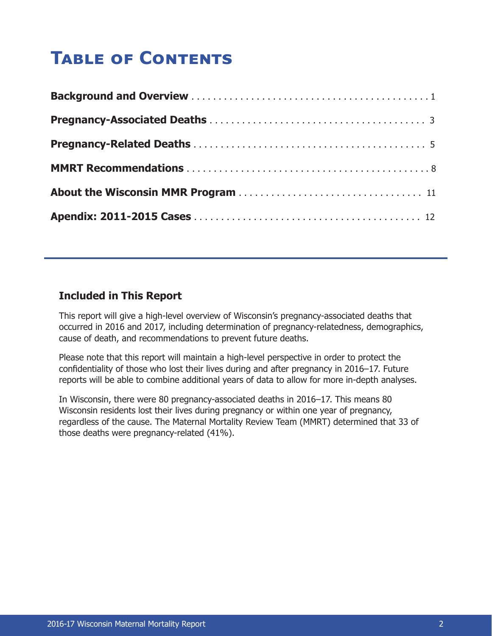# **Table of Contents**

### **Included in This Report**

This report will give a high-level overview of Wisconsin's pregnancy-associated deaths that occurred in 2016 and 2017, including determination of pregnancy-relatedness, demographics, cause of death, and recommendations to prevent future deaths.

Please note that this report will maintain a high-level perspective in order to protect the confidentiality of those who lost their lives during and after pregnancy in 2016–17. Future reports will be able to combine additional years of data to allow for more in-depth analyses.

In Wisconsin, there were 80 pregnancy-associated deaths in 2016–17. This means 80 Wisconsin residents lost their lives during pregnancy or within one year of pregnancy, regardless of the cause. The Maternal Mortality Review Team (MMRT) determined that 33 of those deaths were pregnancy-related (41%).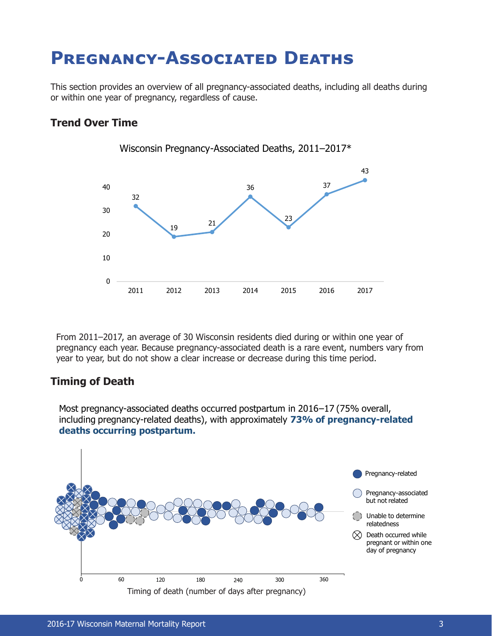# <span id="page-2-0"></span>**Pregnancy-Associated Deaths**

This section provides an overview of all pregnancy-associated deaths, including all deaths during or within one year of pregnancy, regardless of cause.

Wisconsin Pregnancy-Associated Deaths, 2011–2017\*

### **Trend Over Time**



From 2011–2017, an average of 30 Wisconsin residents died during or within one year of pregnancy each year. Because pregnancy-associated death is a rare event, numbers vary from year to year, but do not show a clear increase or decrease during this time period.

### **Timing of Death**

Most pregnancy-associated deaths occurred postpartum in 2016–17 (75% overall, including pregnancy-related deaths), with approximately **73% of pregnancy-related deaths occurring postpartum.**

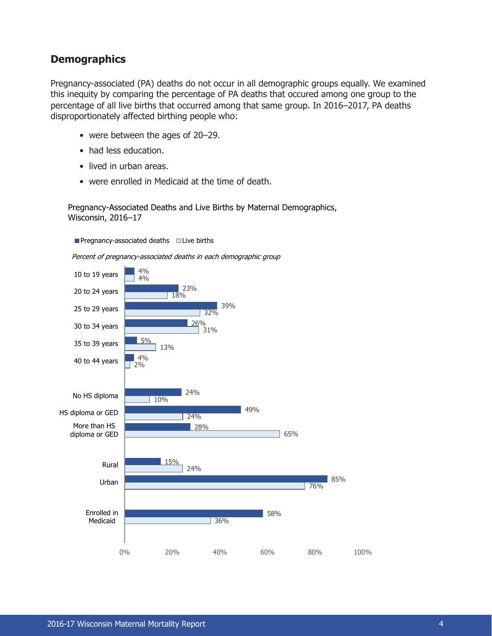### **Demographics**

Pregnancy-associated (PA) deaths do not occur in all demographic groups equally. We examined this inequity by comparing the percentage of PA deaths that occured among one group to the percentage of all live births that occurred among that same group. In 2016–2017, PA deaths disproportionately affected birthing people who:

- were between the ages of 20–29.
- had less education.
- lived in urban areas.
- were enrolled in Medicaid at the time of death.

Pregnancy-Associated Deaths and Live Births by Maternal Demographics, Wisconsin, 2016–17

**Pregnancy-associated deaths**  $\Box$  Live births

Percent of pregnancy-associated deaths in each demographic group

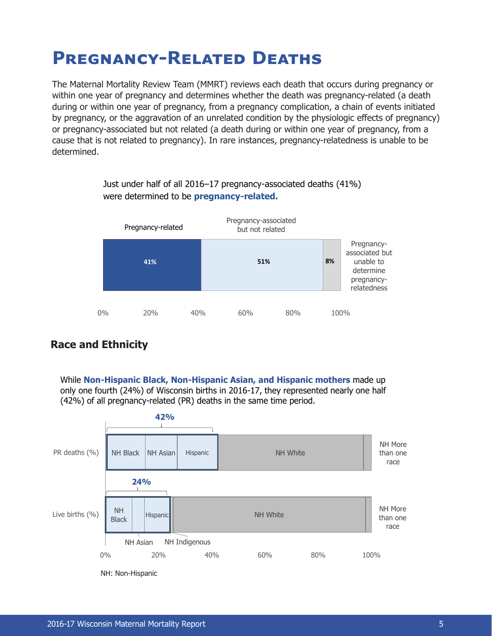# <span id="page-4-0"></span>**Pregnancy-Related Deaths**

The Maternal Mortality Review Team (MMRT) reviews each death that occurs during pregnancy or within one year of pregnancy and determines whether the death was pregnancy-related (a death during or within one year of pregnancy, from a pregnancy complication, a chain of events initiated by pregnancy, or the aggravation of an unrelated condition by the physiologic effects of pregnancy) or pregnancy-associated but not related (a death during or within one year of pregnancy, from a cause that is not related to pregnancy). In rare instances, pregnancy-relatedness is unable to be determined.

> Just under half of all 2016–17 pregnancy-associated deaths (41%) were determined to be **pregnancy-related.**



# **Race and Ethnicity**

While **Non-Hispanic Black, Non-Hispanic Asian, and Hispanic mothers** made up only one fourth (24%) of Wisconsin births in 2016-17, they represented nearly one half (42%) of all pregnancy-related (PR) deaths in the same time period.

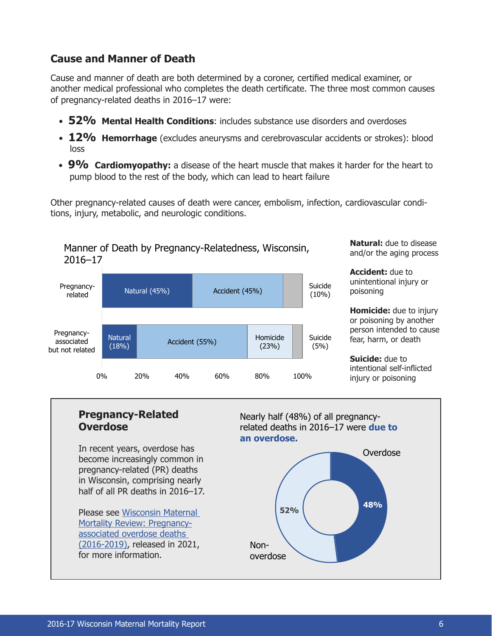# **Cause and Manner of Death**

Cause and manner of death are both determined by a coroner, certified medical examiner, or another medical professional who completes the death certificate. The three most common causes of pregnancy-related deaths in 2016–17 were:

- **52% Mental Health Conditions**: includes substance use disorders and overdoses
- **12%** Hemorrhage (excludes aneurysms and cerebrovascular accidents or strokes): blood loss
- 9% Cardiomyopathy: a disease of the heart muscle that makes it harder for the heart to pump blood to the rest of the body, which can lead to heart failure

Other pregnancy-related causes of death were cancer, embolism, infection, cardiovascular conditions, injury, metabolic, and neurologic conditions.



**Natural:** due to disease and/or the aging process

**Accident:** due to unintentional injury or poisoning

**Homicide:** due to injury or poisoning by another person intended to cause fear, harm, or death

**Suicide:** due to intentional self-inflicted injury or poisoning

#### **48% 52%** Nearly half (48%) of all pregnancyrelated deaths in 2016–17 were **due to an overdose.** Nonoverdose Overdose In recent years, overdose has become increasingly common in pregnancy-related (PR) deaths in Wisconsin, comprising nearly half of all PR deaths in 2016–17. Please see [Wisconsin Maternal](https://prc.wisc.edu/wp-content/uploads/sites/1127/2021/09/MMR-RMOR-Repor.pdf)  [Mortality Review: Pregnancy](https://prc.wisc.edu/wp-content/uploads/sites/1127/2021/09/MMR-RMOR-Repor.pdf)[associated overdose deaths](https://prc.wisc.edu/wp-content/uploads/sites/1127/2021/09/MMR-RMOR-Repor.pdf)  [\(2016-2019\)](https://prc.wisc.edu/wp-content/uploads/sites/1127/2021/09/MMR-RMOR-Repor.pdf), released in 2021, for more information. **Pregnancy-Related Overdose**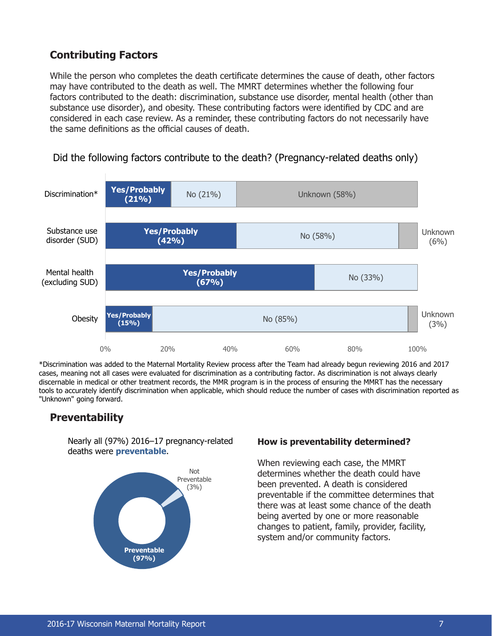# **Contributing Factors**

While the person who completes the death certificate determines the cause of death, other factors may have contributed to the death as well. The MMRT determines whether the following four factors contributed to the death: discrimination, substance use disorder, mental health (other than substance use disorder), and obesity. These contributing factors were identified by CDC and are considered in each case review. As a reminder, these contributing factors do not necessarily have the same definitions as the official causes of death.



Did the following factors contribute to the death? (Pregnancy-related deaths only)

\*Discrimination was added to the Maternal Mortality Review process after the Team had already begun reviewing 2016 and 2017 cases, meaning not all cases were evaluated for discrimination as a contributing factor. As discrimination is not always clearly discernable in medical or other treatment records, the MMR program is in the process of ensuring the MMRT has the necessary tools to accurately identify discrimination when applicable, which should reduce the number of cases with discrimination reported as "Unknown" going forward.

# **Preventability**

Nearly all (97%) 2016–17 pregnancy-related deaths were **preventable**.



#### **How is preventability determined?**

When reviewing each case, the MMRT determines whether the death could have been prevented. A death is considered preventable if the committee determines that there was at least some chance of the death being averted by one or more reasonable changes to patient, family, provider, facility, system and/or community factors.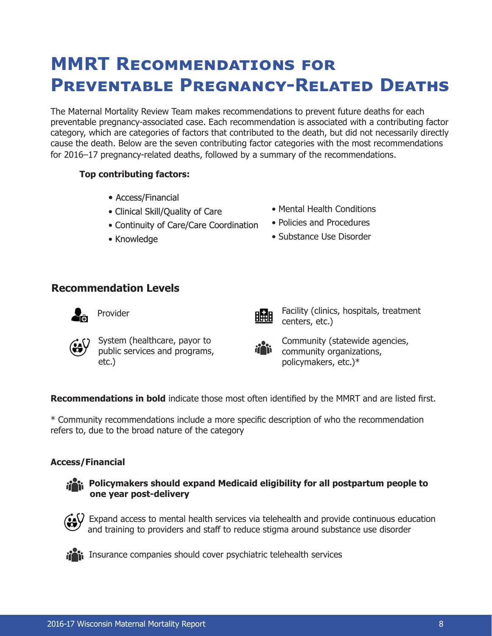# <span id="page-7-0"></span>**MMRT Recommendations for Preventable Pregnancy-Related Deaths**

The Maternal Mortality Review Team makes recommendations to prevent future deaths for each preventable pregnancy-associated case. Each recommendation is associated with a contributing factor category, which are categories of factors that contributed to the death, but did not necessarily directly cause the death. Below are the seven contributing factor categories with the most recommendations for 2016–17 pregnancy-related deaths, followed by a summary of the recommendations.

#### **Top contributing factors:**

- Access/Financial
- Clinical Skill/Quality of Care
- Continuity of Care/Care Coordination
- Knowledge
- Mental Health Conditions
- Policies and Procedures
- Substance Use Disorder

### **Recommendation Levels**





Provider **Facility** (clinics, hospitals, treatment centers, etc.)



System (healthcare, payor to public services and programs, etc.)

Community (statewide agencies, community organizations, policymakers, etc.)\*

**Recommendations in bold** indicate those most often identified by the MMRT and are listed first.

\* Community recommendations include a more specific description of who the recommendation refers to, due to the broad nature of the category

#### **Access/Financial**



#### **Policymakers should expand Medicaid eligibility for all postpartum people to one year post-delivery**



 $\mathcal{V}$  Expand access to mental health services via telehealth and provide continuous education and training to providers and staff to reduce stigma around substance use disorder



in Insurance companies should cover psychiatric telehealth services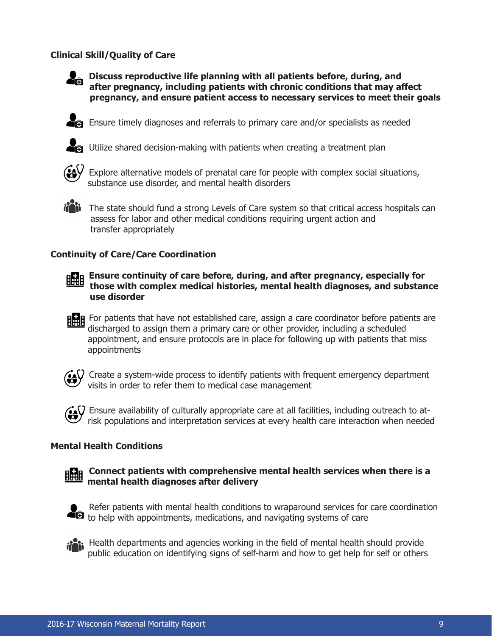#### **Clinical Skill/Quality of Care**



**Discuss reproductive life planning with all patients before, during, and after pregnancy, including patients with chronic conditions that may affect pregnancy, and ensure patient access to necessary services to meet their goals**

 $\sum_{i=1}^{\infty}$  Ensure timely diagnoses and referrals to primary care and/or specialists as needed



 $\sum_{i=1}^{\infty}$  Utilize shared decision-making with patients when creating a treatment plan



• Explore alternative models of prenatal care for people with complex social situations, substance use disorder, and mental health disorders



iii The state should fund a strong Levels of Care system so that critical access hospitals can assess for labor and other medical conditions requiring urgent action and transfer appropriately

#### **Continuity of Care/Care Coordination**



**ERR** Ensure continuity of care before, during, and after pregnancy, especially for **those with complex medical histories, mental health diagnoses, and substance use disorder**

**HHH** For patients that have not established care, assign a care coordinator before patients are discharged to assign them a primary care or other provider, including a scheduled appointment, and ensure protocols are in place for following up with patients that miss appointments



 $\bm{\mathcal{V}}$  Create a system-wide process to identify patients with frequent emergency department visits in order to refer them to medical case management



#### **Mental Health Conditions**





Refer patients with mental health conditions to wraparound services for care coordination to help with appointments, medications, and navigating systems of care



• Health departments and agencies working in the field of mental health should provide public education on identifying signs of self-harm and how to get help for self or others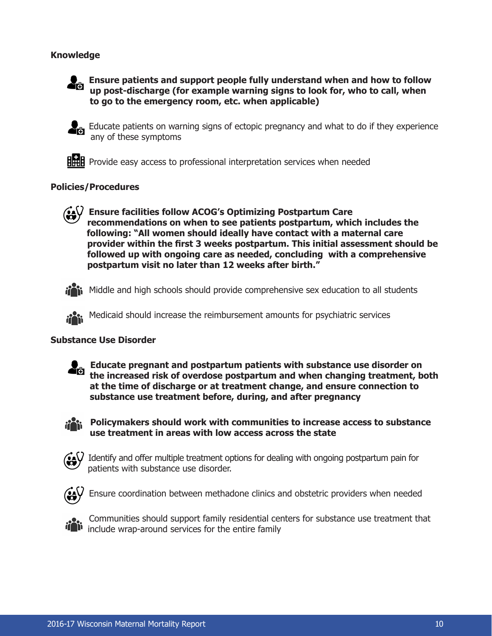#### **Knowledge**



• **Ensure patients and support people fully understand when and how to follow up post-discharge (for example warning signs to look for, who to call, when to go to the emergency room, etc. when applicable)**



• Educate patients on warning signs of ectopic pregnancy and what to do if they experience any of these symptoms

**HHH** Provide easy access to professional interpretation services when needed

#### **Policies/Procedures**



• **Ensure facilities follow ACOG's Optimizing Postpartum Care recommendations on when to see patients postpartum, which includes the following: "All women should ideally have contact with a maternal care provider within the first 3 weeks postpartum. This initial assessment should be followed up with ongoing care as needed, concluding with a comprehensive postpartum visit no later than 12 weeks after birth."**



ii Middle and high schools should provide comprehensive sex education to all students

• Medicaid should increase the reimbursement amounts for psychiatric services

#### **Substance Use Disorder**



**• Educate pregnant and postpartum patients with substance use disorder on the increased risk of overdose postpartum and when changing treatment, both at the time of discharge or at treatment change, and ensure connection to substance use treatment before, during, and after pregnancy**



**• Policymakers should work with communities to increase access to substance use treatment in areas with low access across the state**



 ${\mathsf V}\,$  Identify and offer multiple treatment options for dealing with ongoing postpartum pain for patients with substance use disorder.



• Ensure coordination between methadone clinics and obstetric providers when needed



• Communities should support family residential centers for substance use treatment that include wrap-around services for the entire family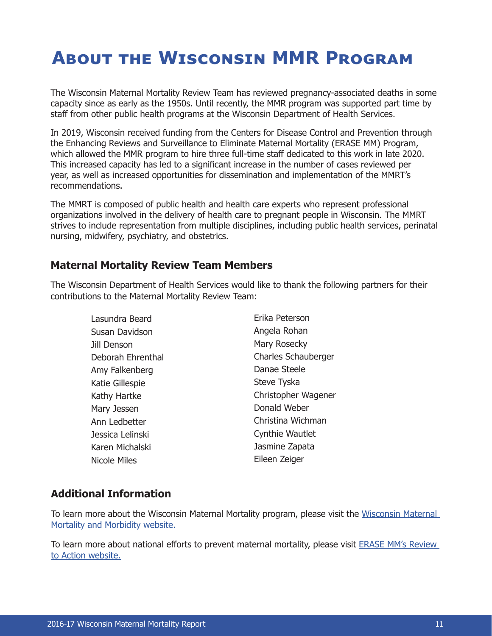# <span id="page-10-0"></span>**About the Wisconsin MMR Program**

The Wisconsin Maternal Mortality Review Team has reviewed pregnancy-associated deaths in some capacity since as early as the 1950s. Until recently, the MMR program was supported part time by staff from other public health programs at the Wisconsin Department of Health Services.

In 2019, Wisconsin received funding from the Centers for Disease Control and Prevention through the Enhancing Reviews and Surveillance to Eliminate Maternal Mortality (ERASE MM) Program, which allowed the MMR program to hire three full-time staff dedicated to this work in late 2020. This increased capacity has led to a significant increase in the number of cases reviewed per year, as well as increased opportunities for dissemination and implementation of the MMRT's recommendations.

The MMRT is composed of public health and health care experts who represent professional organizations involved in the delivery of health care to pregnant people in Wisconsin. The MMRT strives to include representation from multiple disciplines, including public health services, perinatal nursing, midwifery, psychiatry, and obstetrics.

### **Maternal Mortality Review Team Members**

The Wisconsin Department of Health Services would like to thank the following partners for their contributions to the Maternal Mortality Review Team:

| Lasundra Beard      | Erika Peterson             |
|---------------------|----------------------------|
| Susan Davidson      | Angela Rohan               |
| Jill Denson         | Mary Rosecky               |
| Deborah Ehrenthal   | <b>Charles Schauberger</b> |
| Amy Falkenberg      | Danae Steele               |
| Katie Gillespie     | Steve Tyska                |
| Kathy Hartke        | Christopher Wagener        |
| Mary Jessen         | Donald Weber               |
| Ann Ledbetter       | Christina Wichman          |
| Jessica Lelinski    | <b>Cynthie Wautlet</b>     |
| Karen Michalski     | Jasmine Zapata             |
| <b>Nicole Miles</b> | Eileen Zeiger              |

# **Additional Information**

To learn more about the Wisconsin Maternal Mortality program, please visit the [Wisconsin Maternal](https://www.dhs.wisconsin.gov/mch/maternal-mortality-and-morbidity.htm)  [Mortality and Morbidity website.](https://www.dhs.wisconsin.gov/mch/maternal-mortality-and-morbidity.htm)

To learn more about national efforts to prevent maternal mortality, please visit [ERASE MM's Review](https://reviewtoaction.org/)  [to Action website.](https://reviewtoaction.org/)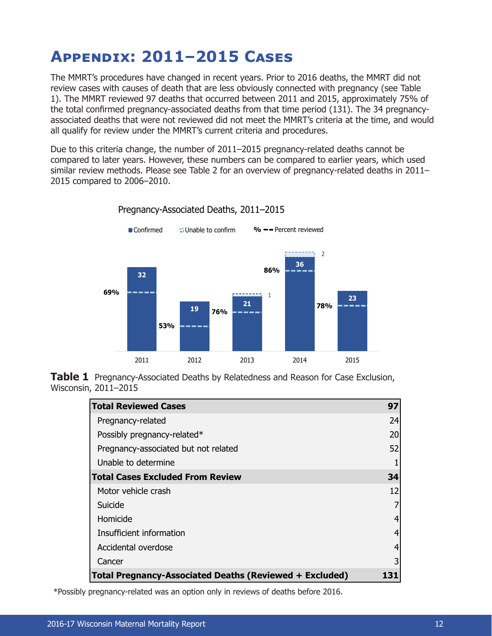# <span id="page-11-0"></span>**Appendix: 2011–2015 Cases**

The MMRT's procedures have changed in recent years. Prior to 2016 deaths, the MMRT did not review cases with causes of death that are less obviously connected with pregnancy (see Table 1). The MMRT reviewed 97 deaths that occurred between 2011 and 2015, approximately 75% of the total confirmed pregnancy-associated deaths from that time period (131). The 34 pregnancyassociated deaths that were not reviewed did not meet the MMRT's criteria at the time, and would all qualify for review under the MMRT's current criteria and procedures.

Due to this criteria change, the number of 2011–2015 pregnancy-related deaths cannot be compared to later years. However, these numbers can be compared to earlier years, which used similar review methods. Please see Table 2 for an overview of pregnancy-related deaths in 2011– 2015 compared to 2006–2010.



Pregnancy-Associated Deaths, 2011–2015

**Table 1** Pregnancy-Associated Deaths by Relatedness and Reason for Case Exclusion, Wisconsin, 2011–2015

| <b>Total Reviewed Cases</b>                                    | 97 |
|----------------------------------------------------------------|----|
| Pregnancy-related                                              | 24 |
| Possibly pregnancy-related*                                    | 20 |
| Pregnancy-associated but not related                           | 52 |
| Unable to determine                                            |    |
| <b>Total Cases Excluded From Review</b>                        | 34 |
| Motor vehicle crash                                            | 12 |
| Suicide                                                        |    |
| Homicide                                                       | 4  |
| Insufficient information                                       | 4  |
| Accidental overdose                                            | 4  |
| Cancer                                                         | 3  |
| <b>Total Pregnancy-Associated Deaths (Reviewed + Excluded)</b> |    |

\*Possibly pregnancy-related was an option only in reviews of deaths before 2016.